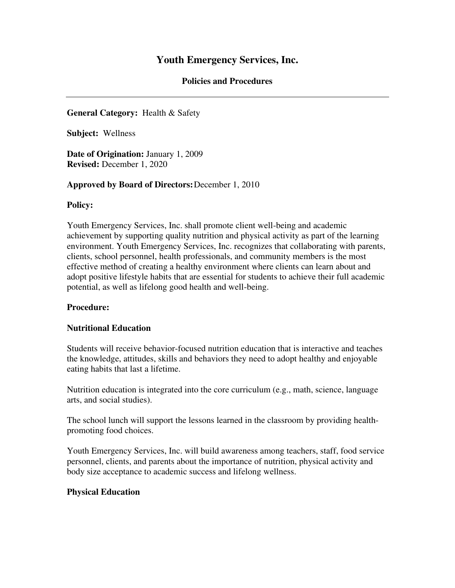#### **Policies and Procedures**

# **General Category:** Health & Safety

**Subject:** Wellness

**Date of Origination:** January 1, 2009 **Revised:** December 1, 2020

#### **Approved by Board of Directors:** December 1, 2010

#### **Policy:**

Youth Emergency Services, Inc. shall promote client well-being and academic achievement by supporting quality nutrition and physical activity as part of the learning environment. Youth Emergency Services, Inc. recognizes that collaborating with parents, clients, school personnel, health professionals, and community members is the most effective method of creating a healthy environment where clients can learn about and adopt positive lifestyle habits that are essential for students to achieve their full academic potential, as well as lifelong good health and well-being.

# **Procedure:**

# **Nutritional Education**

Students will receive behavior-focused nutrition education that is interactive and teaches the knowledge, attitudes, skills and behaviors they need to adopt healthy and enjoyable eating habits that last a lifetime.

Nutrition education is integrated into the core curriculum (e.g., math, science, language arts, and social studies).

The school lunch will support the lessons learned in the classroom by providing healthpromoting food choices.

Youth Emergency Services, Inc. will build awareness among teachers, staff, food service personnel, clients, and parents about the importance of nutrition, physical activity and body size acceptance to academic success and lifelong wellness.

# **Physical Education**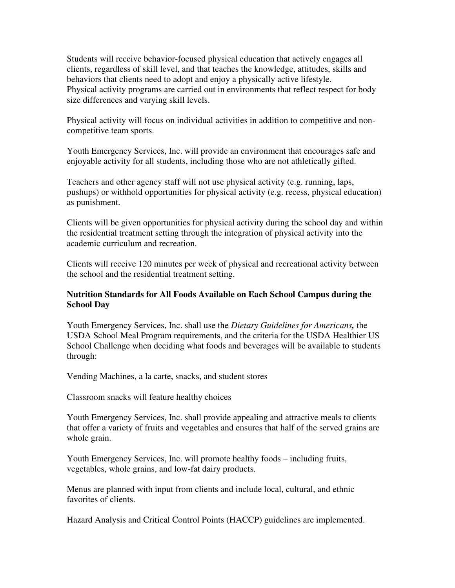Students will receive behavior-focused physical education that actively engages all clients, regardless of skill level, and that teaches the knowledge, attitudes, skills and behaviors that clients need to adopt and enjoy a physically active lifestyle. Physical activity programs are carried out in environments that reflect respect for body size differences and varying skill levels.

Physical activity will focus on individual activities in addition to competitive and noncompetitive team sports.

Youth Emergency Services, Inc. will provide an environment that encourages safe and enjoyable activity for all students, including those who are not athletically gifted.

Teachers and other agency staff will not use physical activity (e.g. running, laps, pushups) or withhold opportunities for physical activity (e.g. recess, physical education) as punishment.

Clients will be given opportunities for physical activity during the school day and within the residential treatment setting through the integration of physical activity into the academic curriculum and recreation.

Clients will receive 120 minutes per week of physical and recreational activity between the school and the residential treatment setting.

# **Nutrition Standards for All Foods Available on Each School Campus during the School Day**

Youth Emergency Services, Inc. shall use the *Dietary Guidelines for Americans,* the USDA School Meal Program requirements, and the criteria for the USDA Healthier US School Challenge when deciding what foods and beverages will be available to students through:

Vending Machines, a la carte, snacks, and student stores

Classroom snacks will feature healthy choices

Youth Emergency Services, Inc. shall provide appealing and attractive meals to clients that offer a variety of fruits and vegetables and ensures that half of the served grains are whole grain.

Youth Emergency Services, Inc. will promote healthy foods – including fruits, vegetables, whole grains, and low-fat dairy products.

Menus are planned with input from clients and include local, cultural, and ethnic favorites of clients.

Hazard Analysis and Critical Control Points (HACCP) guidelines are implemented.